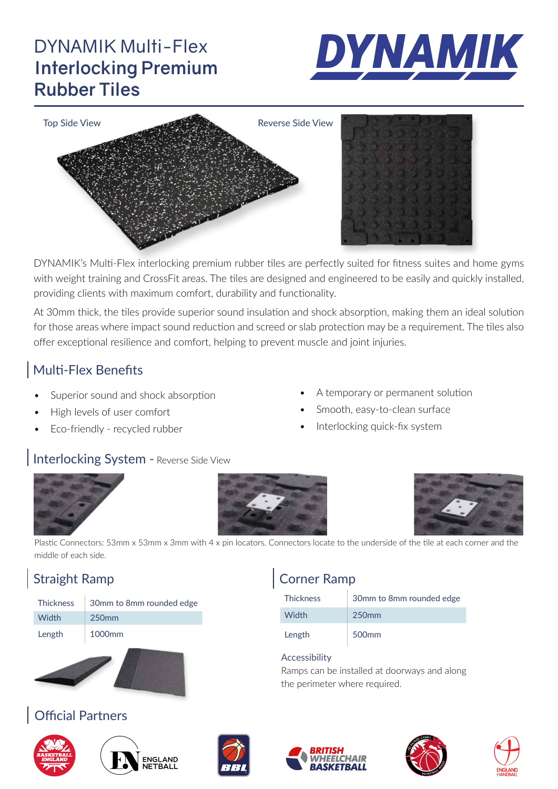## DYNAMIK Multi-Flex **Interlocking Premium Rubber Tiles**





DYNAMIK's Multi-Flex interlocking premium rubber tiles are perfectly suited for fitness suites and home gyms with weight training and CrossFit areas. The tiles are designed and engineered to be easily and quickly installed, providing clients with maximum comfort, durability and functionality.

At 30mm thick, the tiles provide superior sound insulation and shock absorption, making them an ideal solution for those areas where impact sound reduction and screed or slab protection may be a requirement. The tiles also offer exceptional resilience and comfort, helping to prevent muscle and joint injuries.

#### Multi-Flex Benefits

- Superior sound and shock absorption
- High levels of user comfort
- Eco-friendly recycled rubber
- A temporary or permanent solution
- Smooth, easy-to-clean surface
- Interlocking quick-fix system

Ramps can be installed at doorways and along

Thickness 30mm to 8mm rounded edge

#### Interlocking System - Reverse Side View







Plastic Connectors: 53mm x 53mm x 3mm with 4 x pin locators. Connectors locate to the underside of the tile at each corner and the middle of each side.

### Straight Ramp

| <b>Thickness</b> | 30mm to 8mm rounded edge |
|------------------|--------------------------|
| Width            | 250 <sub>mm</sub>        |
| Length           | 1000 <sub>mm</sub>       |



#### Official Partners









the perimeter where required.

Width 250mm

Length 500mm

Accessibility

Corner Ramp